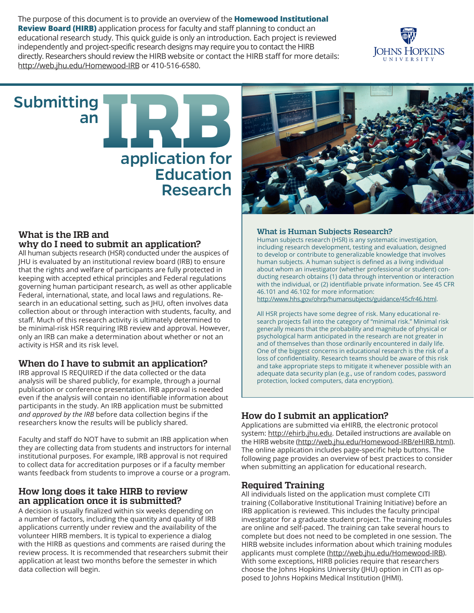The purpose of this document is to provide an overview of the **Homewood Institutional Review Board (HIRB)** application process for faculty and staff planning to conduct an educational research study. This quick guide is only an introduction. Each project is reviewed independently and project-specific research designs may require you to contact the HIRB directly. Researchers should review the HIRB website or contact the HIRB staff for more details: [http://web.jhu.edu/Homewood-IRB o](http://web.jhu.edu/Homewood-IRB)r 410-516-6580.

# Submitting an application for **Education** Research

### **What is the IRB and why do I need to submit an application?**

All human subjects research (HSR) conducted under the auspices of JHU is evaluated by an institutional review board (IRB) to ensure that the rights and welfare of participants are fully protected in keeping with accepted ethical principles and Federal regulations governing human participant research, as well as other applicable Federal, international, state, and local laws and regulations. Research in an educational setting, such as JHU, often involves data collection about or through interaction with students, faculty, and staff. Much of this research activity is ultimately determined to be minimal-risk HSR requiring IRB review and approval. However, only an IRB can make a determination about whether or not an activity is HSR and its risk level.

# **When do I have to submit an application?**

IRB approval IS REQUIRED if the data collected or the data analysis will be shared publicly, for example, through a journal publication or conference presentation. IRB approval is needed even if the analysis will contain no identifiable information about participants in the study. An IRB application must be submitted *and approved by the IRB* before data collection begins if the researchers know the results will be publicly shared.

Faculty and staff do NOT have to submit an IRB application when they are collecting data from students and instructors for internal institutional purposes. For example, IRB approval is not required to collect data for accreditation purposes or if a faculty member wants feedback from students to improve a course or a program.

## **How long does it take HIRB to review an application once it is submitted?**

A decision is usually finalized within six weeks depending on a number of factors, including the quantity and quality of IRB applications currently under review and the availability of the volunteer HIRB members. It is typical to experience a dialog with the HIRB as questions and comments are raised during the review process. It is recommended that researchers submit their application at least two months before the semester in which data collection will begin.

#### **What is Human Subjects Research?**

Human subjects research (HSR) is any systematic investigation, including research development, testing and evaluation, designed to develop or contribute to generalizable knowledge that involves human subjects. A human subject is defined as a living individual about whom an investigator (whether professional or student) conducting research obtains (1) data through intervention or interaction with the individual, or (2) identifiable private information. See 45 CFR 46.101 and 46.102 for more information:

<http://www.hhs.gov/ohrp/humansubjects/guidance/45cfr46.html>.

All HSR projects have some degree of risk. Many educational research projects fall into the category of "minimal risk." Minimal risk generally means that the probability and magnitude of physical or psychological harm anticipated in the research are not greater in and of themselves than those ordinarily encountered in daily life. One of the biggest concerns in educational research is the risk of a loss of confidentiality. Research teams should be aware of this risk and take appropriate steps to mitigate it whenever possible with an adequate data security plan (e.g., use of random codes, password protection, locked computers, data encryption).

# **How do I submit an application?**

Applications are submitted via eHIRB, the electronic protocol system: [http://ehirb.jhu.edu.](http://ehirb.jhu.edu) Detailed instructions are available on the HIRB website [\(http://web.jhu.edu/Homewood-IRB/eHIRB.html](http://web.jhu.edu/Homewood-IRB/eHIRB.html)). The online application includes page-specific help buttons. The following page provides an overview of best practices to consider when submitting an application for educational research.

## **Required Training**

All individuals listed on the application must complete CITI training (Collaborative Institutional Training Initiative) before an IRB application is reviewed. This includes the faculty principal investigator for a graduate student project. The training modules are online and self-paced. The training can take several hours to complete but does not need to be completed in one session. The HIRB website includes information about which training modules applicants must complete [\(http://web.jhu.edu/Homewood-IRB](http://web.jhu.edu/Homewood-IRB)). With some exceptions, HIRB policies require that researchers choose the Johns Hopkins University (JHU) option in CITI as opposed to Johns Hopkins Medical Institution (JHMI).